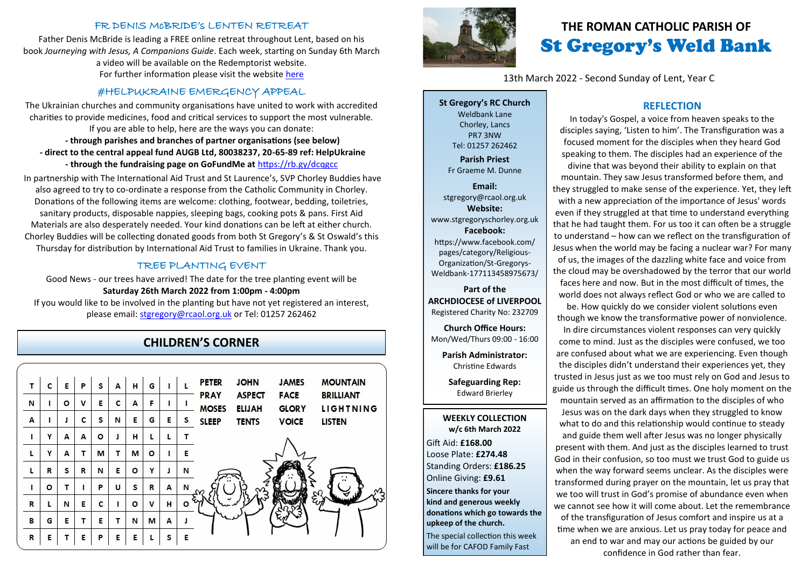#### FR DENIS McBRIDE's LENTEN RETREAT

Father Denis McBride is leading a FREE online retreat throughout Lent, based on his book *Journeying with Jesus, A Companions Guide*. Each week, starting on Sunday 6th March a video will be available on the Redemptorist website. For further information please visit the website [here](https://www.rpbooks.co.uk/retreat-with-fr-denis-2022)

## #HELPUKRAINE EMERGENCY APPEAL

The Ukrainian churches and community organisations have united to work with accredited charities to provide medicines, food and critical services to support the most vulnerable. If you are able to help, here are the ways you can donate: **- through parishes and branches of partner organisations (see below) - direct to the central appeal fund AUGB Ltd, 80038237, 20-65-89 ref: HelpUkraine**

**- through the fundraising page on GoFundMe at** <https://rb.gy/dcqgcc>

In partnership with The International Aid Trust and St Laurence's, SVP Chorley Buddies have also agreed to try to co-ordinate a response from the Catholic Community in Chorley. Donations of the following items are welcome: clothing, footwear, bedding, toiletries, sanitary products, disposable nappies, sleeping bags, cooking pots & pans. First Aid Materials are also desperately needed. Your kind donations can be left at either church. Chorley Buddies will be collecting donated goods from both St Gregory's & St Oswald's this Thursday for distribution by International Aid Trust to families in Ukraine. Thank you.

### TREE PLANTING EVENT

Good News - our trees have arrived! The date for the tree planting event will be **Saturday 26th March 2022 from 1:00pm - 4:00pm**

If you would like to be involved in the planting but have not yet registered an interest, please email: [stgregory@rcaol.org.uk](mailto:stgregory@rcaol.org.uk) or Tel: 01257 262462

## **CHILDREN'S CORNER**

| т            | c | Е       | P            | s       | А | н       | G       |   |   | <b>PETER</b>                | <b>JOHN</b>                    | <b>JAMES</b>                | <b>MOUNTAIN</b>               |
|--------------|---|---------|--------------|---------|---|---------|---------|---|---|-----------------------------|--------------------------------|-----------------------------|-------------------------------|
| N            | п | $\circ$ | $\mathsf{v}$ | E       | C | A       | F       |   |   | <b>PRAY</b><br><b>MOSES</b> | <b>ASPECT</b><br><b>ELIJAH</b> | <b>FACE</b><br><b>GLORY</b> | <b>BRILLIANT</b><br>LIGHTNING |
| A            |   | J       | c            | S       | N | Е       | G       | E | s | <b>SLEEP</b>                | <b>TENTS</b>                   | <b>VOICE</b>                | <b>LISTEN</b>                 |
| ı            | Y | A       | A            | $\circ$ | J | н       | L       | L | т |                             |                                |                             |                               |
| L            | Y | A       |              | M       | т | M       | $\circ$ | ı | Е |                             |                                |                             |                               |
| L            | R | s       | R            | N       | Е | $\circ$ | Y       | J | N |                             |                                |                             |                               |
| п            | o | т       |              | P       | U | s       | R       | A | N |                             |                                |                             |                               |
| $\mathsf{R}$ | L | N       | Е            | c       | п | $\circ$ | v       | н | o |                             |                                |                             |                               |
| B            | G | Е       | т            | Е       | т | N       | M       | A |   |                             |                                |                             |                               |
| $\mathbb{R}$ | E |         | E            | P       | E | E       |         | S | E |                             |                                |                             |                               |



# **THE ROMAN CATHOLIC PARISH OF** St Gregory's Weld Bank

13th March 2022 - Second Sunday of Lent, Year C

**St Gregory's RC Church** Weldbank Lane Chorley, Lancs PR7 3NW Tel: 01257 262462

**Parish Priest** Fr Graeme M. Dunne

**Email:** stgregory@rcaol.org.uk **Website:** www.stgregoryschorley.org.uk **Facebook:** https://www.facebook.com/ pages/category/Religious-Organization/St-Gregorys-Weldbank-177113458975673/

**Part of the ARCHDIOCESE of LIVERPOOL**  Registered Charity No: 232709

**Church Office Hours:** Mon/Wed/Thurs 09:00 - 16:00

**Parish Administrator:** Christine Edwards

**Safeguarding Rep:** Edward Brierley

#### **WEEKLY COLLECTION w/c 6th March 2022**

Gift Aid: **£168.00** Loose Plate: **£274.48** Standing Orders: **£186.25** Online Giving: **£9.61 Sincere thanks for your kind and generous weekly donations which go towards the upkeep of the church.**  The special collection this week

# will be for CAFOD Family Fast

### **REFLECTION**

In today's Gospel, a voice from heaven speaks to the disciples saying, 'Listen to him'. The Transfiguration was a focused moment for the disciples when they heard God speaking to them. The disciples had an experience of the divine that was beyond their ability to explain on that mountain. They saw Jesus transformed before them, and they struggled to make sense of the experience. Yet, they left with a new appreciation of the importance of Jesus' words even if they struggled at that time to understand everything that he had taught them. For us too it can often be a struggle to understand – how can we reflect on the transfiguration of Jesus when the world may be facing a nuclear war? For many of us, the images of the dazzling white face and voice from the cloud may be overshadowed by the terror that our world faces here and now. But in the most difficult of times, the world does not always reflect God or who we are called to

be. How quickly do we consider violent solutions even though we know the transformative power of nonviolence.

In dire circumstances violent responses can very quickly come to mind. Just as the disciples were confused, we too are confused about what we are experiencing. Even though the disciples didn't understand their experiences yet, they trusted in Jesus just as we too must rely on God and Jesus to guide us through the difficult times. One holy moment on the

mountain served as an affirmation to the disciples of who Jesus was on the dark days when they struggled to know what to do and this relationship would continue to steady and guide them well after Jesus was no longer physically present with them. And just as the disciples learned to trust God in their confusion, so too must we trust God to guide us when the way forward seems unclear. As the disciples were transformed during prayer on the mountain, let us pray that we too will trust in God's promise of abundance even when we cannot see how it will come about. Let the remembrance of the transfiguration of Jesus comfort and inspire us at a time when we are anxious. Let us pray today for peace and an end to war and may our actions be guided by our confidence in God rather than fear.